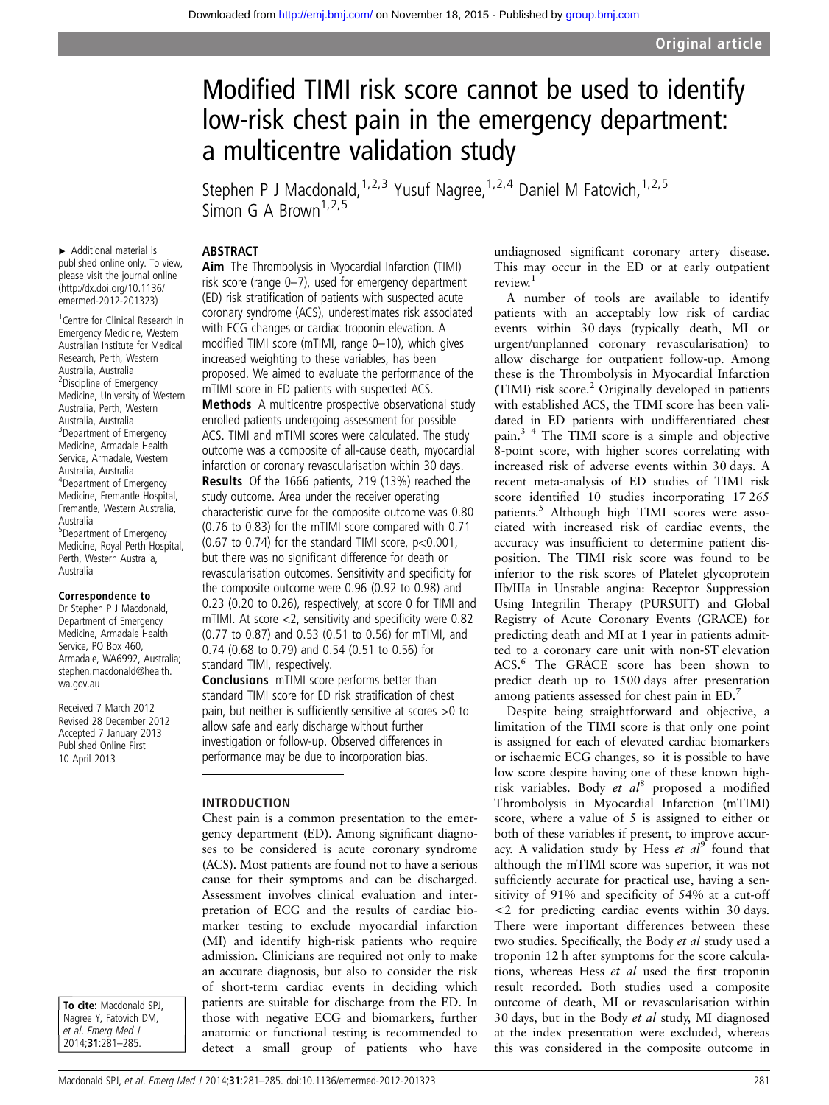# Modified TIMI risk score cannot be used to identify low-risk chest pain in the emergency department: a multicentre validation study

Stephen P J Macdonald, <sup>1, 2, 3</sup> Yusuf Nagree, <sup>1, 2, 4</sup> Daniel M Fatovich, <sup>1, 2, 5</sup> Simon G A Brown<sup>1,2,5</sup>

# **ABSTRACT**

▸ Additional material is published online only. To view, please visit the journal online [\(http://dx.doi.org/10.1136/](http://dx.doi.org/10.1136/emermed-2012-201323) [emermed-2012-201323](http://dx.doi.org/10.1136/emermed-2012-201323))

1 Centre for Clinical Research in Emergency Medicine, Western Australian Institute for Medical Research, Perth, Western Australia, Australia <sup>2</sup>Discipline of Emergency Medicine, University of Western Australia, Perth, Western Australia, Australia <sup>3</sup>Department of Emergency Medicine, Armadale Health Service, Armadale, Western Australia, Australia 4 Department of Emergency Medicine, Fremantle Hospital, Fremantle, Western Australia, Australia 5 Department of Emergency Medicine, Royal Perth Hospital, Perth, Western Australia, Australia

#### Correspondence to

Dr Stephen P J Macdonald, Department of Emergency Medicine, Armadale Health Service, PO Box 460, Armadale, WA6992, Australia; stephen.macdonald@health. wa.gov.au

Received 7 March 2012 Revised 28 December 2012 Accepted 7 January 2013 Published Online First 10 April 2013

#### To cite: Macdonald SPJ, Nagree Y, Fatovich DM, et al. Emerg Med J 2014;31:281–285.

Aim The Thrombolysis in Myocardial Infarction (TIMI) risk score (range 0–7), used for emergency department (ED) risk stratification of patients with suspected acute coronary syndrome (ACS), underestimates risk associated with ECG changes or cardiac troponin elevation. A modified TIMI score (mTIMI, range 0–10), which gives increased weighting to these variables, has been proposed. We aimed to evaluate the performance of the mTIMI score in ED patients with suspected ACS. Methods A multicentre prospective observational study enrolled patients undergoing assessment for possible ACS. TIMI and mTIMI scores were calculated. The study outcome was a composite of all-cause death, myocardial infarction or coronary revascularisation within 30 days. Results Of the 1666 patients, 219 (13%) reached the study outcome. Area under the receiver operating characteristic curve for the composite outcome was 0.80 (0.76 to 0.83) for the mTIMI score compared with 0.71 (0.67 to 0.74) for the standard TIMI score,  $p<0.001$ , but there was no significant difference for death or revascularisation outcomes. Sensitivity and specificity for the composite outcome were 0.96 (0.92 to 0.98) and 0.23 (0.20 to 0.26), respectively, at score 0 for TIMI and mTIMI. At score <2, sensitivity and specificity were 0.82 (0.77 to 0.87) and 0.53 (0.51 to 0.56) for mTIMI, and 0.74 (0.68 to 0.79) and 0.54 (0.51 to 0.56) for standard TIMI, respectively.

Conclusions mTIMI score performs better than standard TIMI score for ED risk stratification of chest pain, but neither is sufficiently sensitive at scores >0 to allow safe and early discharge without further investigation or follow-up. Observed differences in performance may be due to incorporation bias.

#### INTRODUCTION

Chest pain is a common presentation to the emergency department (ED). Among significant diagnoses to be considered is acute coronary syndrome (ACS). Most patients are found not to have a serious cause for their symptoms and can be discharged. Assessment involves clinical evaluation and interpretation of ECG and the results of cardiac biomarker testing to exclude myocardial infarction (MI) and identify high-risk patients who require admission. Clinicians are required not only to make an accurate diagnosis, but also to consider the risk of short-term cardiac events in deciding which patients are suitable for discharge from the ED. In those with negative ECG and biomarkers, further anatomic or functional testing is recommended to detect a small group of patients who have undiagnosed significant coronary artery disease. This may occur in the ED or at early outpatient review.<sup>1</sup>

A number of tools are available to identify patients with an acceptably low risk of cardiac events within 30 days (typically death, MI or urgent/unplanned coronary revascularisation) to allow discharge for outpatient follow-up. Among these is the Thrombolysis in Myocardial Infarction (TIMI) risk score.<sup>2</sup> Originally developed in patients with established ACS, the TIMI score has been validated in ED patients with undifferentiated chest pain.3 4 The TIMI score is a simple and objective 8-point score, with higher scores correlating with increased risk of adverse events within 30 days. A recent meta-analysis of ED studies of TIMI risk score identified 10 studies incorporating 17 265 patients.<sup>5</sup> Although high TIMI scores were associated with increased risk of cardiac events, the accuracy was insufficient to determine patient disposition. The TIMI risk score was found to be inferior to the risk scores of Platelet glycoprotein IIb/IIIa in Unstable angina: Receptor Suppression Using Integrilin Therapy (PURSUIT) and Global Registry of Acute Coronary Events (GRACE) for predicting death and MI at 1 year in patients admitted to a coronary care unit with non-ST elevation ACS.6 The GRACE score has been shown to predict death up to 1500 days after presentation among patients assessed for chest pain in ED.<sup>7</sup>

Despite being straightforward and objective, a limitation of the TIMI score is that only one point is assigned for each of elevated cardiac biomarkers or ischaemic ECG changes, so it is possible to have low score despite having one of these known highrisk variables. Body et  $al^8$  proposed a modified Thrombolysis in Myocardial Infarction (mTIMI) score, where a value of 5 is assigned to either or both of these variables if present, to improve accuracy. A validation study by Hess et  $al^9$  found that although the mTIMI score was superior, it was not sufficiently accurate for practical use, having a sensitivity of 91% and specificity of 54% at a cut-off <2 for predicting cardiac events within 30 days. There were important differences between these two studies. Specifically, the Body et al study used a troponin 12 h after symptoms for the score calculations, whereas Hess et al used the first troponin result recorded. Both studies used a composite outcome of death, MI or revascularisation within 30 days, but in the Body et al study, MI diagnosed at the index presentation were excluded, whereas this was considered in the composite outcome in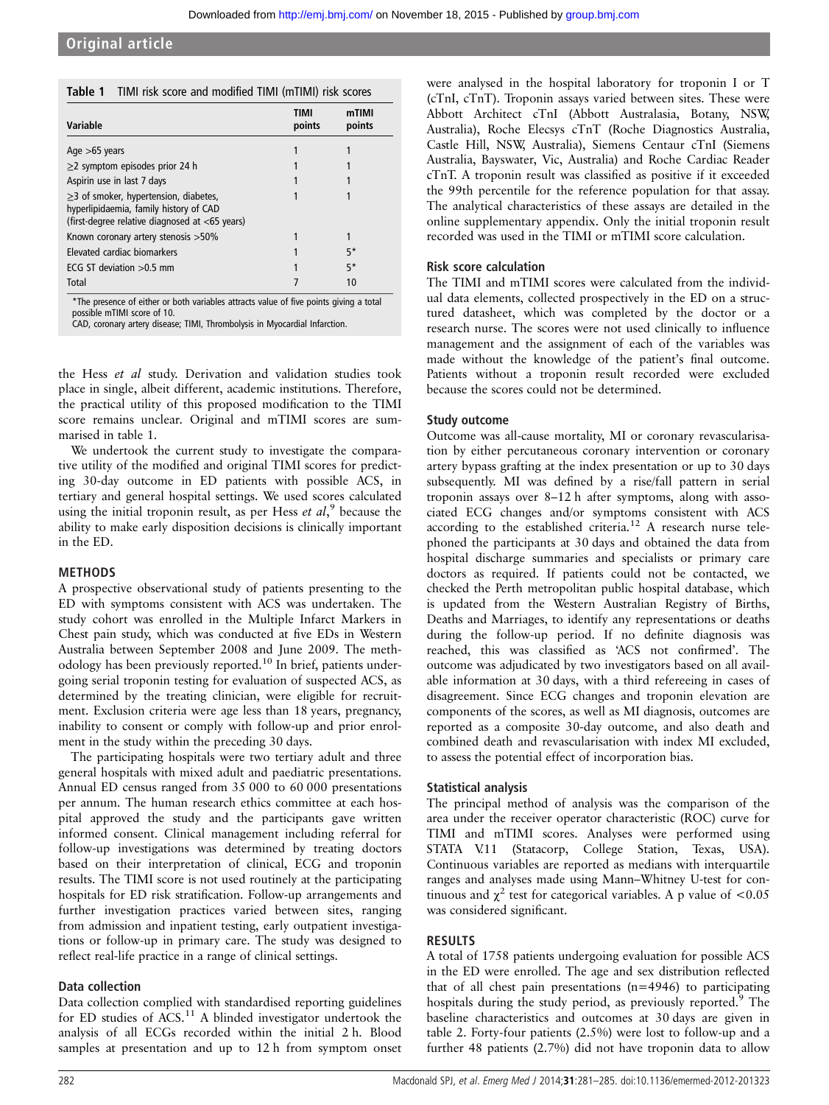|  | <b>Table 1</b> TIMI risk score and modified TIMI (mTIMI) risk scores |  |
|--|----------------------------------------------------------------------|--|
|--|----------------------------------------------------------------------|--|

| Variable                                                                                                                                | TIMI<br>points | mTIMI<br>points |
|-----------------------------------------------------------------------------------------------------------------------------------------|----------------|-----------------|
| Age $>65$ years                                                                                                                         |                |                 |
| $\geq$ 2 symptom episodes prior 24 h                                                                                                    |                |                 |
| Aspirin use in last 7 days                                                                                                              |                |                 |
| $\geq$ 3 of smoker, hypertension, diabetes,<br>hyperlipidaemia, family history of CAD<br>(first-degree relative diagnosed at <65 years) |                |                 |
| Known coronary artery stenosis > 50%                                                                                                    |                |                 |
| Elevated cardiac biomarkers                                                                                                             |                | 5*              |
| ECG ST deviation $>0.5$ mm                                                                                                              |                | 5*              |
| Total                                                                                                                                   |                | 10              |
| *The presence of either or both variables attracts value of five points giving a total                                                  |                |                 |

possible mTIMI score of 10.

CAD, coronary artery disease; TIMI, Thrombolysis in Myocardial Infarction.

the Hess et al study. Derivation and validation studies took place in single, albeit different, academic institutions. Therefore, the practical utility of this proposed modification to the TIMI score remains unclear. Original and mTIMI scores are summarised in table 1.

We undertook the current study to investigate the comparative utility of the modified and original TIMI scores for predicting 30-day outcome in ED patients with possible ACS, in tertiary and general hospital settings. We used scores calculated using the initial troponin result, as per Hess et  $al$ ,<sup>9</sup> because the ability to make early disposition decisions is clinically important in the ED.

# METHODS

A prospective observational study of patients presenting to the ED with symptoms consistent with ACS was undertaken. The study cohort was enrolled in the Multiple Infarct Markers in Chest pain study, which was conducted at five EDs in Western Australia between September 2008 and June 2009. The methodology has been previously reported.10 In brief, patients undergoing serial troponin testing for evaluation of suspected ACS, as determined by the treating clinician, were eligible for recruitment. Exclusion criteria were age less than 18 years, pregnancy, inability to consent or comply with follow-up and prior enrolment in the study within the preceding 30 days.

The participating hospitals were two tertiary adult and three general hospitals with mixed adult and paediatric presentations. Annual ED census ranged from 35 000 to 60 000 presentations per annum. The human research ethics committee at each hospital approved the study and the participants gave written informed consent. Clinical management including referral for follow-up investigations was determined by treating doctors based on their interpretation of clinical, ECG and troponin results. The TIMI score is not used routinely at the participating hospitals for ED risk stratification. Follow-up arrangements and further investigation practices varied between sites, ranging from admission and inpatient testing, early outpatient investigations or follow-up in primary care. The study was designed to reflect real-life practice in a range of clinical settings.

## Data collection

Data collection complied with standardised reporting guidelines for ED studies of ACS.<sup>11</sup> A blinded investigator undertook the analysis of all ECGs recorded within the initial 2 h. Blood samples at presentation and up to 12 h from symptom onset

were analysed in the hospital laboratory for troponin I or T (cTnI, cTnT). Troponin assays varied between sites. These were Abbott Architect cTnI (Abbott Australasia, Botany, NSW, Australia), Roche Elecsys cTnT (Roche Diagnostics Australia, Castle Hill, NSW, Australia), Siemens Centaur cTnI (Siemens Australia, Bayswater, Vic, Australia) and Roche Cardiac Reader cTnT. A troponin result was classified as positive if it exceeded the 99th percentile for the reference population for that assay. The analytical characteristics of these assays are detailed in the online [supplementary appendix](http://emj.bmj.com/lookup/suppl/doi:10.1136/emermed-2012-201323/-/DC1). Only the initial troponin result recorded was used in the TIMI or mTIMI score calculation.

#### Risk score calculation

The TIMI and mTIMI scores were calculated from the individual data elements, collected prospectively in the ED on a structured datasheet, which was completed by the doctor or a research nurse. The scores were not used clinically to influence management and the assignment of each of the variables was made without the knowledge of the patient's final outcome. Patients without a troponin result recorded were excluded because the scores could not be determined.

#### Study outcome

Outcome was all-cause mortality, MI or coronary revascularisation by either percutaneous coronary intervention or coronary artery bypass grafting at the index presentation or up to 30 days subsequently. MI was defined by a rise/fall pattern in serial troponin assays over 8–12 h after symptoms, along with associated ECG changes and/or symptoms consistent with ACS according to the established criteria.<sup>12</sup> A research nurse telephoned the participants at 30 days and obtained the data from hospital discharge summaries and specialists or primary care doctors as required. If patients could not be contacted, we checked the Perth metropolitan public hospital database, which is updated from the Western Australian Registry of Births, Deaths and Marriages, to identify any representations or deaths during the follow-up period. If no definite diagnosis was reached, this was classified as 'ACS not confirmed'. The outcome was adjudicated by two investigators based on all available information at 30 days, with a third refereeing in cases of disagreement. Since ECG changes and troponin elevation are components of the scores, as well as MI diagnosis, outcomes are reported as a composite 30-day outcome, and also death and combined death and revascularisation with index MI excluded, to assess the potential effect of incorporation bias.

## Statistical analysis

The principal method of analysis was the comparison of the area under the receiver operator characteristic (ROC) curve for TIMI and mTIMI scores. Analyses were performed using STATA V.11 (Statacorp, College Station, Texas, USA). Continuous variables are reported as medians with interquartile ranges and analyses made using Mann–Whitney U-test for continuous and  $\chi^2$  test for categorical variables. A p value of <0.05 was considered significant.

#### RESULTS

A total of 1758 patients undergoing evaluation for possible ACS in the ED were enrolled. The age and sex distribution reflected that of all chest pain presentations (n=4946) to participating hospitals during the study period, as previously reported.<sup>9</sup> The baseline characteristics and outcomes at 30 days are given in table 2. Forty-four patients (2.5%) were lost to follow-up and a further 48 patients (2.7%) did not have troponin data to allow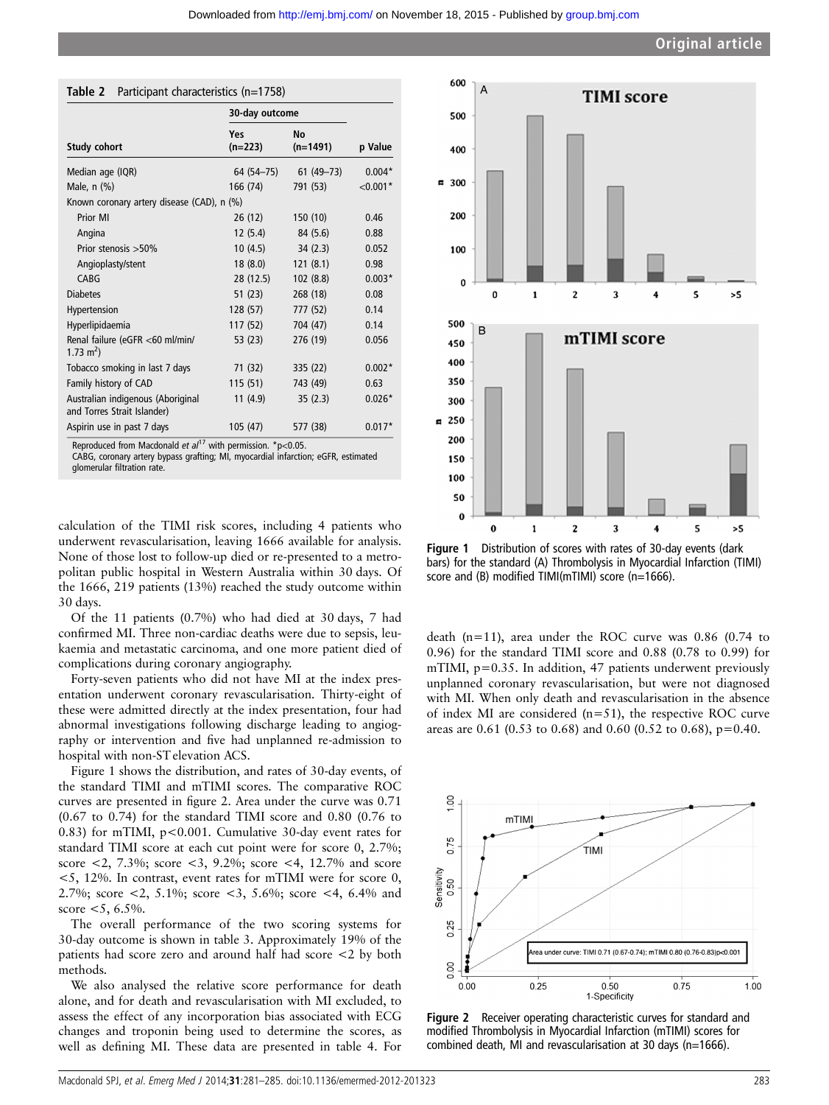#### Table 2 Participant characteristics (n=1758)

|                                                                  | 30-day outcome   |                         |            |  |
|------------------------------------------------------------------|------------------|-------------------------|------------|--|
| Study cohort                                                     | Yes<br>$(n=223)$ | <b>No</b><br>$(n=1491)$ | p Value    |  |
| Median age (IQR)                                                 | 64 (54-75)       | $61(49-73)$             | $0.004*$   |  |
| Male, $n$ $(\%)$                                                 | 166 (74)         | 791 (53)                | $< 0.001*$ |  |
| Known coronary artery disease (CAD), n (%)                       |                  |                         |            |  |
| Prior MI                                                         | 26(12)           | 150 (10)                | 0.46       |  |
| Angina                                                           | 12(5.4)          | 84 (5.6)                | 0.88       |  |
| Prior stenosis > 50%                                             | 10(4.5)          | 34(2.3)                 | 0.052      |  |
| Angioplasty/stent                                                | 18(8.0)          | 121(8.1)                | 0.98       |  |
| CABG                                                             | 28 (12.5)        | 102(8.8)                | $0.003*$   |  |
| <b>Diabetes</b>                                                  | 51(23)           | 268 (18)                | 0.08       |  |
| Hypertension                                                     | 128 (57)         | 777 (52)                | 0.14       |  |
| Hyperlipidaemia                                                  | 117 (52)         | 704 (47)                | 0.14       |  |
| Renal failure (eGFR <60 ml/min/<br>1.73 m <sup>2</sup> )         | 53 (23)          | 276 (19)                | 0.056      |  |
| Tobacco smoking in last 7 days                                   | 71 (32)          | 335 (22)                | $0.002*$   |  |
| Family history of CAD                                            | 115(51)          | 743 (49)                | 0.63       |  |
| Australian indigenous (Aboriginal<br>and Torres Strait Islander) | 11(4.9)          | 35(2.3)                 | $0.026*$   |  |
| Aspirin use in past 7 days                                       | 105(47)          | 577 (38)                | $0.017*$   |  |

Reproduced from Macdonald et  $aI^{17}$  with permission. \*p<0.05. CABG, coronary artery bypass grafting; MI, myocardial infarction; eGFR, estimated

glomerular filtration rate.

calculation of the TIMI risk scores, including 4 patients who underwent revascularisation, leaving 1666 available for analysis. None of those lost to follow-up died or re-presented to a metropolitan public hospital in Western Australia within 30 days. Of the 1666, 219 patients (13%) reached the study outcome within 30 days.

Of the 11 patients (0.7%) who had died at 30 days, 7 had confirmed MI. Three non-cardiac deaths were due to sepsis, leukaemia and metastatic carcinoma, and one more patient died of complications during coronary angiography.

Forty-seven patients who did not have MI at the index presentation underwent coronary revascularisation. Thirty-eight of these were admitted directly at the index presentation, four had abnormal investigations following discharge leading to angiography or intervention and five had unplanned re-admission to hospital with non-ST elevation ACS.

Figure 1 shows the distribution, and rates of 30-day events, of the standard TIMI and mTIMI scores. The comparative ROC curves are presented in figure 2. Area under the curve was 0.71 (0.67 to 0.74) for the standard TIMI score and 0.80 (0.76 to 0.83) for mTIMI, p<0.001. Cumulative 30-day event rates for standard TIMI score at each cut point were for score 0, 2.7%; score <2, 7.3%; score <3, 9.2%; score <4, 12.7% and score <5, 12%. In contrast, event rates for mTIMI were for score 0, 2.7%; score <2, 5.1%; score <3, 5.6%; score <4, 6.4% and score  $< 5, 6.5\%$ .

The overall performance of the two scoring systems for 30-day outcome is shown in table 3. Approximately 19% of the patients had score zero and around half had score <2 by both methods.

We also analysed the relative score performance for death alone, and for death and revascularisation with MI excluded, to assess the effect of any incorporation bias associated with ECG changes and troponin being used to determine the scores, as well as defining MI. These data are presented in table 4. For



Figure 1 Distribution of scores with rates of 30-day events (dark bars) for the standard (A) Thrombolysis in Myocardial Infarction (TIMI) score and (B) modified TIMI(mTIMI) score (n=1666).

death (n=11), area under the ROC curve was 0.86 (0.74 to 0.96) for the standard TIMI score and 0.88 (0.78 to 0.99) for mTIMI, p=0.35. In addition, 47 patients underwent previously unplanned coronary revascularisation, but were not diagnosed with MI. When only death and revascularisation in the absence of index MI are considered (n=51), the respective ROC curve areas are 0.61 (0.53 to 0.68) and 0.60 (0.52 to 0.68),  $p=0.40$ .



Figure 2 Receiver operating characteristic curves for standard and modified Thrombolysis in Myocardial Infarction (mTIMI) scores for combined death, MI and revascularisation at 30 days (n=1666).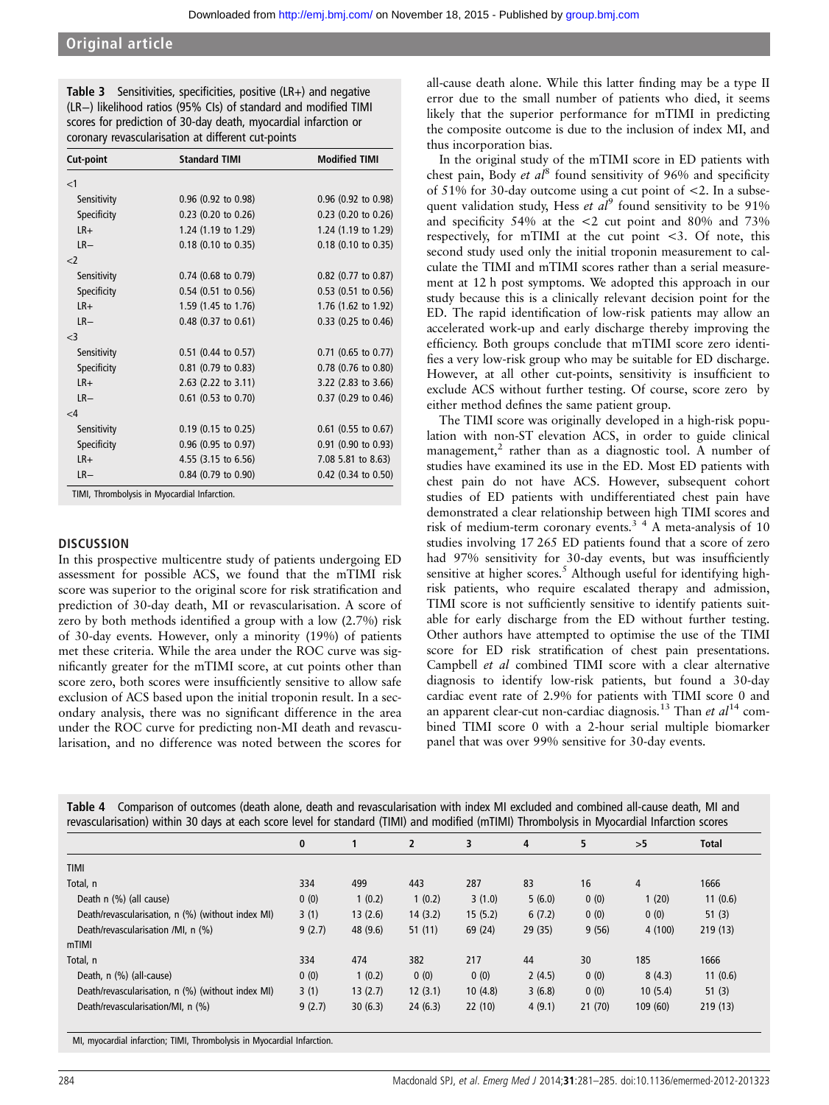Table 3 Sensitivities, specificities, positive (LR+) and negative (LR−) likelihood ratios (95% CIs) of standard and modified TIMI scores for prediction of 30-day death, myocardial infarction or coronary revascularisation at different cut-points

| <b>Cut-point</b> | <b>Standard TIMI</b>                       | <b>Modified TIMI</b>  |
|------------------|--------------------------------------------|-----------------------|
| $<$ 1            |                                            |                       |
| Sensitivity      | 0.96 (0.92 to 0.98)                        | 0.96 (0.92 to 0.98)   |
| Specificity      | 0.23 (0.20 to 0.26)                        | 0.23 (0.20 to 0.26)   |
| $LR+$            | 1.24 (1.19 to 1.29)                        | 1.24 (1.19 to 1.29)   |
| $LR-$            | $0.18$ (0.10 to 0.35)                      | $0.18$ (0.10 to 0.35) |
| $\langle$ 2      |                                            |                       |
| Sensitivity      | 0.74 (0.68 to 0.79)                        | 0.82 (0.77 to 0.87)   |
| Specificity      | $0.54$ (0.51 to 0.56)                      | $0.53$ (0.51 to 0.56) |
| $LR+$            | 1.59 (1.45 to 1.76)                        | 1.76 (1.62 to 1.92)   |
| $LR-$            | $0.48$ (0.37 to 0.61)                      | 0.33 (0.25 to 0.46)   |
| $\leq$ 3         |                                            |                       |
| Sensitivity      | 0.51 (0.44 to 0.57)                        | $0.71$ (0.65 to 0.77) |
| Specificity      | $0.81$ (0.79 to 0.83)                      | $0.78$ (0.76 to 0.80) |
| $LR+$            | 2.63 (2.22 to 3.11)<br>3.22 (2.83 to 3.66) |                       |
| $LR-$            | $0.61$ (0.53 to 0.70)                      | 0.37 (0.29 to 0.46)   |
| $\leq 4$         |                                            |                       |
| Sensitivity      | $0.19$ (0.15 to 0.25)                      | $0.61$ (0.55 to 0.67) |
| Specificity      | 0.96 (0.95 to 0.97)                        | 0.91 (0.90 to 0.93)   |
| $LR+$            | 4.55 (3.15 to 6.56)                        | 7.08 5.81 to 8.63)    |
| $LR-$            | 0.84 (0.79 to 0.90)                        | 0.42 (0.34 to 0.50)   |

TIMI, Thrombolysis in Myocardial Infarction.

#### **DISCUSSION**

In this prospective multicentre study of patients undergoing ED assessment for possible ACS, we found that the mTIMI risk score was superior to the original score for risk stratification and prediction of 30-day death, MI or revascularisation. A score of zero by both methods identified a group with a low (2.7%) risk of 30-day events. However, only a minority (19%) of patients met these criteria. While the area under the ROC curve was significantly greater for the mTIMI score, at cut points other than score zero, both scores were insufficiently sensitive to allow safe exclusion of ACS based upon the initial troponin result. In a secondary analysis, there was no significant difference in the area under the ROC curve for predicting non-MI death and revascularisation, and no difference was noted between the scores for

all-cause death alone. While this latter finding may be a type II error due to the small number of patients who died, it seems likely that the superior performance for mTIMI in predicting the composite outcome is due to the inclusion of index MI, and thus incorporation bias.

In the original study of the mTIMI score in ED patients with chest pain, Body et  $a\dot{l}^8$  found sensitivity of 96% and specificity of 51% for 30-day outcome using a cut point of <2. In a subsequent validation study, Hess et  $al^9$  found sensitivity to be 91% and specificity  $54\%$  at the  $\lt 2$  cut point and  $80\%$  and  $73\%$ respectively, for mTIMI at the cut point <3. Of note, this second study used only the initial troponin measurement to calculate the TIMI and mTIMI scores rather than a serial measurement at 12 h post symptoms. We adopted this approach in our study because this is a clinically relevant decision point for the ED. The rapid identification of low-risk patients may allow an accelerated work-up and early discharge thereby improving the efficiency. Both groups conclude that mTIMI score zero identifies a very low-risk group who may be suitable for ED discharge. However, at all other cut-points, sensitivity is insufficient to exclude ACS without further testing. Of course, score zero by either method defines the same patient group.

The TIMI score was originally developed in a high-risk population with non-ST elevation ACS, in order to guide clinical management, $^{2}$  rather than as a diagnostic tool. A number of studies have examined its use in the ED. Most ED patients with chest pain do not have ACS. However, subsequent cohort studies of ED patients with undifferentiated chest pain have demonstrated a clear relationship between high TIMI scores and risk of medium-term coronary events.<sup>3</sup> <sup>4</sup> A meta-analysis of 10 studies involving 17 265 ED patients found that a score of zero had 97% sensitivity for 30-day events, but was insufficiently sensitive at higher scores.<sup>5</sup> Although useful for identifying highrisk patients, who require escalated therapy and admission, TIMI score is not sufficiently sensitive to identify patients suitable for early discharge from the ED without further testing. Other authors have attempted to optimise the use of the TIMI score for ED risk stratification of chest pain presentations. Campbell et al combined TIMI score with a clear alternative diagnosis to identify low-risk patients, but found a 30-day cardiac event rate of 2.9% for patients with TIMI score 0 and an apparent clear-cut non-cardiac diagnosis.<sup>13</sup> Than *et al*<sup>14</sup> combined TIMI score 0 with a 2-hour serial multiple biomarker panel that was over 99% sensitive for 30-day events.

|                                                   | 0      |          | 2       | 3       | 4      | 5      | >5      | <b>Total</b> |
|---------------------------------------------------|--------|----------|---------|---------|--------|--------|---------|--------------|
| <b>TIMI</b>                                       |        |          |         |         |        |        |         |              |
| Total, n                                          | 334    | 499      | 443     | 287     | 83     | 16     | 4       | 1666         |
| Death n (%) (all cause)                           | 0(0)   | 1(0.2)   | 1(0.2)  | 3(1.0)  | 5(6.0) | 0(0)   | 1(20)   | 11(0.6)      |
| Death/revascularisation, n (%) (without index MI) | 3(1)   | 13(2.6)  | 14(3.2) | 15(5.2) | 6(7.2) | 0(0)   | 0(0)    | 51(3)        |
| Death/revascularisation /MI, n (%)                | 9(2.7) | 48 (9.6) | 51(11)  | 69 (24) | 29(35) | 9(56)  | 4(100)  | 219(13)      |
| mTIMI                                             |        |          |         |         |        |        |         |              |
| Total, n                                          | 334    | 474      | 382     | 217     | 44     | 30     | 185     | 1666         |
| Death, n (%) (all-cause)                          | 0(0)   | 1(0.2)   | 0(0)    | 0(0)    | 2(4.5) | 0(0)   | 8(4.3)  | 11(0.6)      |
| Death/revascularisation, n (%) (without index MI) | 3(1)   | 13(2.7)  | 12(3.1) | 10(4.8) | 3(6.8) | 0(0)   | 10(5.4) | 51(3)        |
| Death/revascularisation/MI, n (%)                 | 9(2.7) | 30(6.3)  | 24(6.3) | 22(10)  | 4(9.1) | 21(70) | 109(60) | 219(13)      |

Table 4 Comparison of outcomes (death alone, death and revascularisation with index MI excluded and combined all-cause death, MI and

MI, myocardial infarction; TIMI, Thrombolysis in Myocardial Infarction.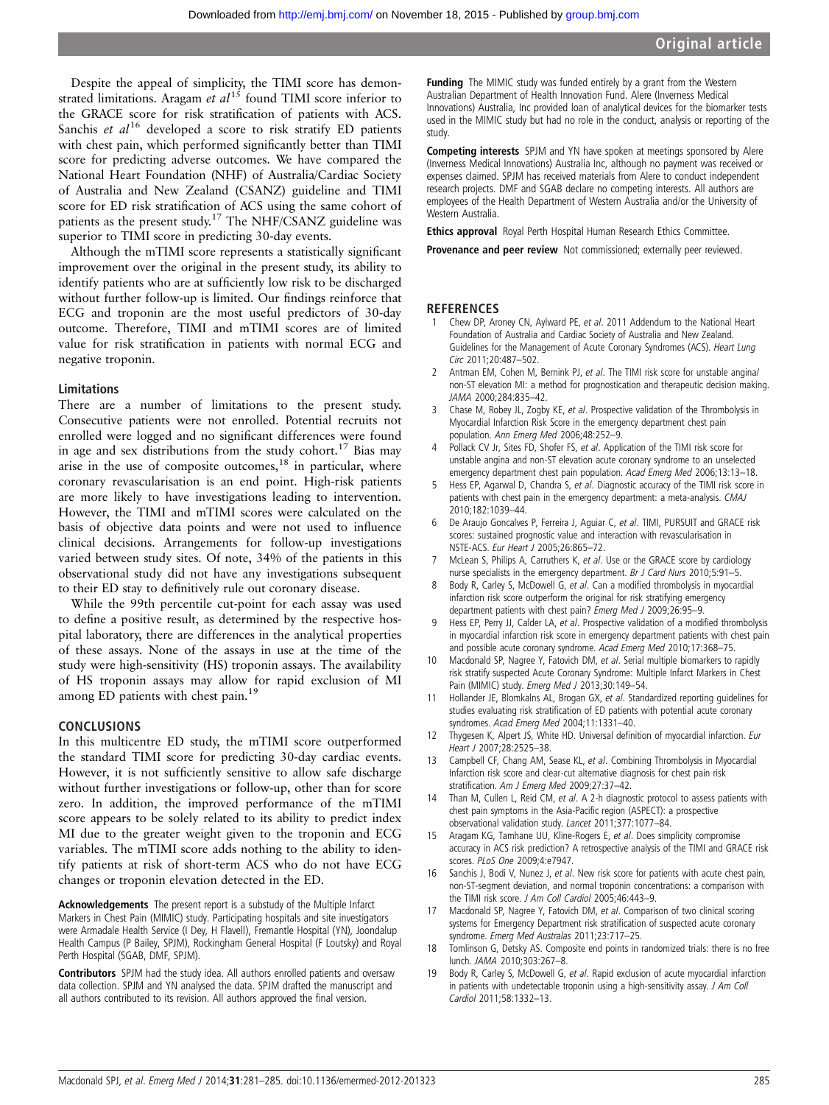Despite the appeal of simplicity, the TIMI score has demonstrated limitations. Aragam et  $al^{15}$  found TIMI score inferior to the GRACE score for risk stratification of patients with ACS. Sanchis et  $al^{16}$  developed a score to risk stratify ED patients with chest pain, which performed significantly better than TIMI score for predicting adverse outcomes. We have compared the National Heart Foundation (NHF) of Australia/Cardiac Society of Australia and New Zealand (CSANZ) guideline and TIMI score for ED risk stratification of ACS using the same cohort of patients as the present study.<sup>17</sup> The NHF/CSANZ guideline was superior to TIMI score in predicting 30-day events.

Although the mTIMI score represents a statistically significant improvement over the original in the present study, its ability to identify patients who are at sufficiently low risk to be discharged without further follow-up is limited. Our findings reinforce that ECG and troponin are the most useful predictors of 30-day outcome. Therefore, TIMI and mTIMI scores are of limited value for risk stratification in patients with normal ECG and negative troponin.

#### Limitations

There are a number of limitations to the present study. Consecutive patients were not enrolled. Potential recruits not enrolled were logged and no significant differences were found in age and sex distributions from the study cohort.<sup>17</sup> Bias may arise in the use of composite outcomes, $^{18}$  in particular, where coronary revascularisation is an end point. High-risk patients are more likely to have investigations leading to intervention. However, the TIMI and mTIMI scores were calculated on the basis of objective data points and were not used to influence clinical decisions. Arrangements for follow-up investigations varied between study sites. Of note, 34% of the patients in this observational study did not have any investigations subsequent to their ED stay to definitively rule out coronary disease.

While the 99th percentile cut-point for each assay was used to define a positive result, as determined by the respective hospital laboratory, there are differences in the analytical properties of these assays. None of the assays in use at the time of the study were high-sensitivity (HS) troponin assays. The availability of HS troponin assays may allow for rapid exclusion of MI among ED patients with chest pain.<sup>19</sup>

#### **CONCLUSIONS**

In this multicentre ED study, the mTIMI score outperformed the standard TIMI score for predicting 30-day cardiac events. However, it is not sufficiently sensitive to allow safe discharge without further investigations or follow-up, other than for score zero. In addition, the improved performance of the mTIMI score appears to be solely related to its ability to predict index MI due to the greater weight given to the troponin and ECG variables. The mTIMI score adds nothing to the ability to identify patients at risk of short-term ACS who do not have ECG changes or troponin elevation detected in the ED.

Acknowledgements The present report is a substudy of the Multiple Infarct Markers in Chest Pain (MIMIC) study. Participating hospitals and site investigators were Armadale Health Service (I Dey, H Flavell), Fremantle Hospital (YN), Joondalup Health Campus (P Bailey, SPJM), Rockingham General Hospital (F Loutsky) and Royal Perth Hospital (SGAB, DMF, SPJM).

Contributors SPJM had the study idea. All authors enrolled patients and oversaw data collection. SPJM and YN analysed the data. SPJM drafted the manuscript and all authors contributed to its revision. All authors approved the final version.

Funding The MIMIC study was funded entirely by a grant from the Western Australian Department of Health Innovation Fund. Alere (Inverness Medical Innovations) Australia, Inc provided loan of analytical devices for the biomarker tests used in the MIMIC study but had no role in the conduct, analysis or reporting of the study.

Competing interests SPJM and YN have spoken at meetings sponsored by Alere (Inverness Medical Innovations) Australia Inc, although no payment was received or expenses claimed. SPJM has received materials from Alere to conduct independent research projects. DMF and SGAB declare no competing interests. All authors are employees of the Health Department of Western Australia and/or the University of Western Australia

Ethics approval Royal Perth Hospital Human Research Ethics Committee.

Provenance and peer review Not commissioned; externally peer reviewed.

#### **REFERENCES**

- Chew DP, Aroney CN, Aylward PE, et al. 2011 Addendum to the National Heart Foundation of Australia and Cardiac Society of Australia and New Zealand. Guidelines for the Management of Acute Coronary Syndromes (ACS). Heart Lung Circ 2011;20:487–502.
- Antman EM, Cohen M, Bernink PJ, et al. The TIMI risk score for unstable angina/ non-ST elevation MI: a method for prognostication and therapeutic decision making. JAMA 2000;284:835–42.
- Chase M, Robey JL, Zogby KE, et al. Prospective validation of the Thrombolysis in Myocardial Infarction Risk Score in the emergency department chest pain population. Ann Emerg Med 2006;48:252–9.
- Pollack CV Jr, Sites FD, Shofer FS, et al. Application of the TIMI risk score for unstable angina and non-ST elevation acute coronary syndrome to an unselected emergency department chest pain population. Acad Emerg Med 2006;13:13-18.
- 5 Hess EP, Agarwal D, Chandra S, et al. Diagnostic accuracy of the TIMI risk score in patients with chest pain in the emergency department: a meta-analysis. CMAJ 2010;182:1039–44.
- De Araujo Goncalves P, Ferreira J, Aguiar C, et al. TIMI, PURSUIT and GRACE risk scores: sustained prognostic value and interaction with revascularisation in NSTE-ACS. Eur Heart J 2005;26:865–72.
- 7 McLean S, Philips A, Carruthers K, et al. Use or the GRACE score by cardiology nurse specialists in the emergency department. Br J Card Nurs 2010;5:91-5.
- 8 Body R, Carley S, McDowell G, et al. Can a modified thrombolysis in myocardial infarction risk score outperform the original for risk stratifying emergency department patients with chest pain? Emerg Med J 2009;26:95–9.
- Hess EP, Perry JJ, Calder LA, et al. Prospective validation of a modified thrombolysis in myocardial infarction risk score in emergency department patients with chest pain and possible acute coronary syndrome. Acad Emerg Med 2010;17:368–75.
- 10 Macdonald SP, Nagree Y, Fatovich DM, et al. Serial multiple biomarkers to rapidly risk stratify suspected Acute Coronary Syndrome: Multiple Infarct Markers in Chest Pain (MIMIC) study. Emerg Med J 2013;30:149–54.
- 11 Hollander JE, Blomkalns AL, Brogan GX, et al. Standardized reporting guidelines for studies evaluating risk stratification of ED patients with potential acute coronary syndromes. Acad Emerg Med 2004;11:1331–40.
- 12 Thygesen K, Alpert JS, White HD. Universal definition of myocardial infarction. Eur Heart J 2007;28:2525–38.
- 13 Campbell CF, Chang AM, Sease KL, et al. Combining Thrombolysis in Myocardial Infarction risk score and clear-cut alternative diagnosis for chest pain risk stratification. Am J Emerg Med 2009;27:37–42.
- 14 Than M, Cullen L, Reid CM, et al. A 2-h diagnostic protocol to assess patients with chest pain symptoms in the Asia-Pacific region (ASPECT): a prospective observational validation study. Lancet 2011;377:1077–84.
- 15 Aragam KG, Tamhane UU, Kline-Rogers E, et al. Does simplicity compromise accuracy in ACS risk prediction? A retrospective analysis of the TIMI and GRACE risk scores. PLoS One 2009;4:e7947.
- 16 Sanchis J, Bodi V, Nunez J, et al. New risk score for patients with acute chest pain, non-ST-segment deviation, and normal troponin concentrations: a comparison with the TIMI risk score. J Am Coll Cardiol 2005;46:443-9.
- 17 Macdonald SP, Nagree Y, Fatovich DM, et al. Comparison of two clinical scoring systems for Emergency Department risk stratification of suspected acute coronary syndrome. Emerg Med Australas 2011;23:717–25.
- 18 Tomlinson G, Detsky AS. Composite end points in randomized trials: there is no free lunch. JAMA 2010;303:267–8.
- 19 Body R, Carley S, McDowell G, et al. Rapid exclusion of acute myocardial infarction in patients with undetectable troponin using a high-sensitivity assay. J Am Coll Cardiol 2011;58:1332–13.